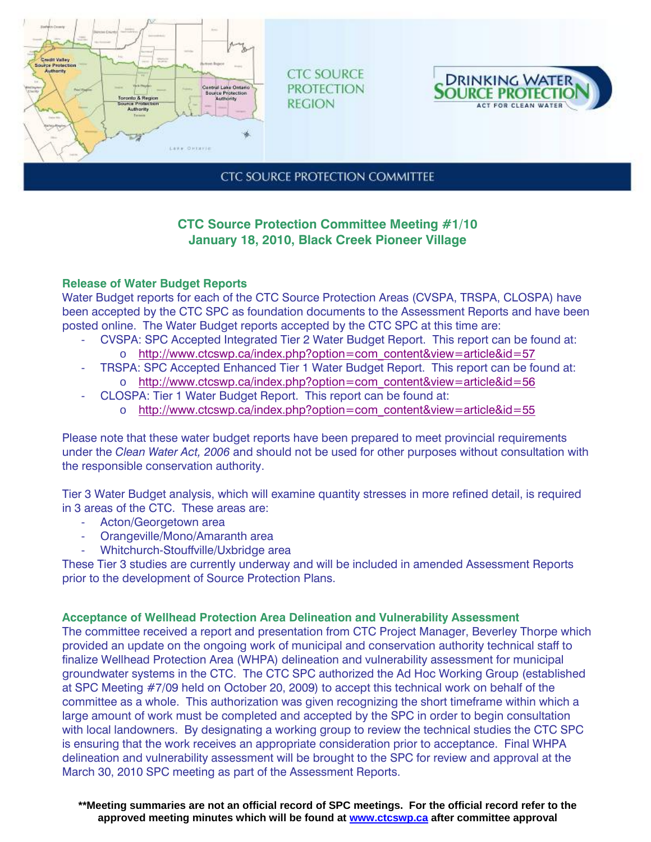

**CTC SOURCE PROTECTION REGION** 



**CTC SOURCE PROTECTION COMMITTEE** 

# **CTC Source Protection Committee Meeting #1/10 January 18, 2010, Black Creek Pioneer Village**

## **Release of Water Budget Reports**

Water Budget reports for each of the CTC Source Protection Areas (CVSPA, TRSPA, CLOSPA) have been accepted by the CTC SPC as foundation documents to the Assessment Reports and have been posted online. The Water Budget reports accepted by the CTC SPC at this time are:

- CVSPA: SPC Accepted Integrated Tier 2 Water Budget Report. This report can be found at: o http://www.ctcswp.ca/index.php?option=com\_content&view=article&id=57
- TRSPA: SPC Accepted Enhanced Tier 1 Water Budget Report. This report can be found at: o http://www.ctcswp.ca/index.php?option=com\_content&view=article&id=56
- CLOSPA: Tier 1 Water Budget Report. This report can be found at:
	- o http://www.ctcswp.ca/index.php?option=com\_content&view=article&id=55

Please note that these water budget reports have been prepared to meet provincial requirements under the *Clean Water Act, 2006* and should not be used for other purposes without consultation with the responsible conservation authority.

Tier 3 Water Budget analysis, which will examine quantity stresses in more refined detail, is required in 3 areas of the CTC. These areas are:

- Acton/Georgetown area
- Orangeville/Mono/Amaranth area
- Whitchurch-Stouffville/Uxbridge area

These Tier 3 studies are currently underway and will be included in amended Assessment Reports prior to the development of Source Protection Plans.

## **Acceptance of Wellhead Protection Area Delineation and Vulnerability Assessment**

The committee received a report and presentation from CTC Project Manager, Beverley Thorpe which provided an update on the ongoing work of municipal and conservation authority technical staff to finalize Wellhead Protection Area (WHPA) delineation and vulnerability assessment for municipal groundwater systems in the CTC. The CTC SPC authorized the Ad Hoc Working Group (established at SPC Meeting #7/09 held on October 20, 2009) to accept this technical work on behalf of the committee as a whole. This authorization was given recognizing the short timeframe within which a large amount of work must be completed and accepted by the SPC in order to begin consultation with local landowners. By designating a working group to review the technical studies the CTC SPC is ensuring that the work receives an appropriate consideration prior to acceptance. Final WHPA delineation and vulnerability assessment will be brought to the SPC for review and approval at the March 30, 2010 SPC meeting as part of the Assessment Reports.

**\*\*Meeting summaries are not an official record of SPC meetings. For the official record refer to the approved meeting minutes which will be found at www.ctcswp.ca after committee approval**